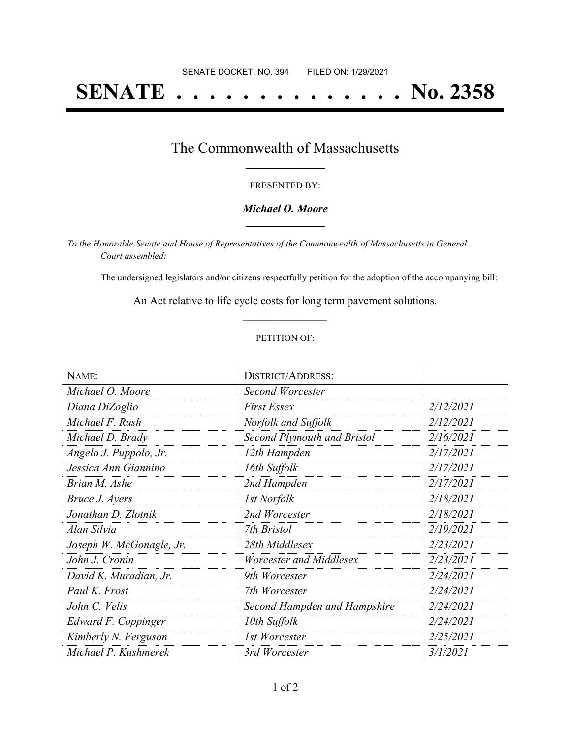# **SENATE . . . . . . . . . . . . . . No. 2358**

## The Commonwealth of Massachusetts **\_\_\_\_\_\_\_\_\_\_\_\_\_\_\_\_\_**

#### PRESENTED BY:

#### *Michael O. Moore* **\_\_\_\_\_\_\_\_\_\_\_\_\_\_\_\_\_**

*To the Honorable Senate and House of Representatives of the Commonwealth of Massachusetts in General Court assembled:*

The undersigned legislators and/or citizens respectfully petition for the adoption of the accompanying bill:

An Act relative to life cycle costs for long term pavement solutions. **\_\_\_\_\_\_\_\_\_\_\_\_\_\_\_**

#### PETITION OF:

| NAME:                    | <b>DISTRICT/ADDRESS:</b>           |           |
|--------------------------|------------------------------------|-----------|
| Michael O. Moore         | Second Worcester                   |           |
| Diana DiZoglio           | <b>First Essex</b>                 | 2/12/2021 |
| Michael F. Rush          | Norfolk and Suffolk                | 2/12/2021 |
| Michael D. Brady         | <b>Second Plymouth and Bristol</b> | 2/16/2021 |
| Angelo J. Puppolo, Jr.   | 12th Hampden                       | 2/17/2021 |
| Jessica Ann Giannino     | 16th Suffolk                       | 2/17/2021 |
| Brian M. Ashe            | 2nd Hampden                        | 2/17/2021 |
| Bruce J. Ayers           | <b>1st Norfolk</b>                 | 2/18/2021 |
| Jonathan D. Zlotnik      | 2nd Worcester                      | 2/18/2021 |
| Alan Silvia              | 7th Bristol                        | 2/19/2021 |
| Joseph W. McGonagle, Jr. | 28th Middlesex                     | 2/23/2021 |
| John J. Cronin           | Worcester and Middlesex            | 2/23/2021 |
| David K. Muradian, Jr.   | 9th Worcester                      | 2/24/2021 |
| Paul K. Frost            | 7th Worcester                      | 2/24/2021 |
| John C. Velis            | Second Hampden and Hampshire       | 2/24/2021 |
| Edward F. Coppinger      | 10th Suffolk                       | 2/24/2021 |
| Kimberly N. Ferguson     | 1st Worcester                      | 2/25/2021 |
| Michael P. Kushmerek     | 3rd Worcester                      | 3/1/2021  |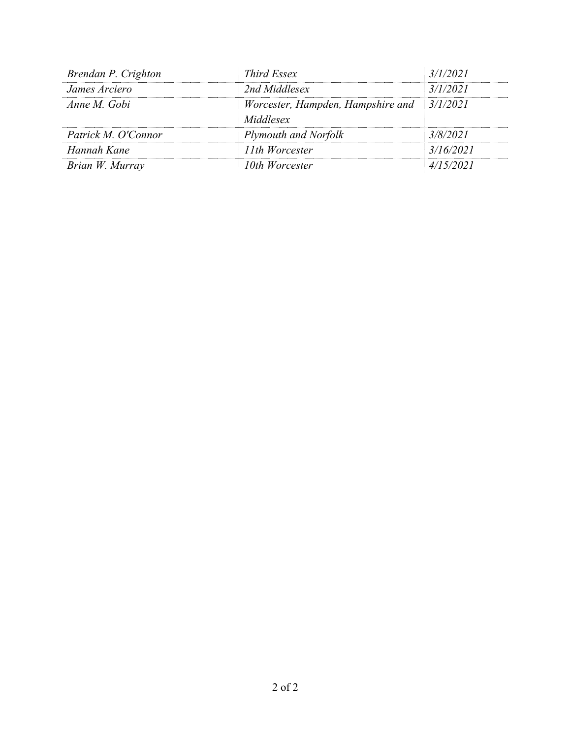| Brendan P. Crighton | <i>Third Essex</i>                             | 3/1/2021  |
|---------------------|------------------------------------------------|-----------|
| James Arciero       | 2nd Middlesex                                  | 3/1/2021  |
| Anne M. Gobi        | Worcester, Hampden, Hampshire and<br>Middlesex | 3/1/2021  |
| Patrick M. O'Connor | Plymouth and Norfolk                           | 3/8/2021  |
| Hannah Kane         | 11th Worcester                                 | 3/16/2021 |
| Brian W. Murray     | 10th Worcester                                 | 4/15/2021 |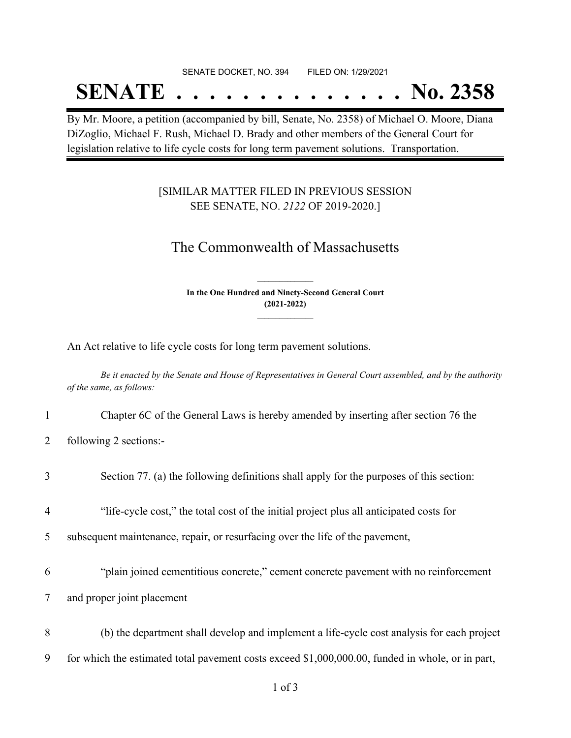#### SENATE DOCKET, NO. 394 FILED ON: 1/29/2021

## **SENATE . . . . . . . . . . . . . . No. 2358**

By Mr. Moore, a petition (accompanied by bill, Senate, No. 2358) of Michael O. Moore, Diana DiZoglio, Michael F. Rush, Michael D. Brady and other members of the General Court for legislation relative to life cycle costs for long term pavement solutions. Transportation.

### [SIMILAR MATTER FILED IN PREVIOUS SESSION SEE SENATE, NO. *2122* OF 2019-2020.]

## The Commonwealth of Massachusetts

**In the One Hundred and Ninety-Second General Court (2021-2022) \_\_\_\_\_\_\_\_\_\_\_\_\_\_\_**

**\_\_\_\_\_\_\_\_\_\_\_\_\_\_\_**

An Act relative to life cycle costs for long term pavement solutions.

Be it enacted by the Senate and House of Representatives in General Court assembled, and by the authority *of the same, as follows:*

- 1 Chapter 6C of the General Laws is hereby amended by inserting after section 76 the
- 2 following 2 sections:-

| $\overline{4}$ | "life-cycle cost," the total cost of the initial project plus all anticipated costs for          |
|----------------|--------------------------------------------------------------------------------------------------|
| 5              | subsequent maintenance, repair, or resurfacing over the life of the pavement,                    |
| 6              | "plain joined cementitious concrete," cement concrete pavement with no reinforcement             |
| 7              | and proper joint placement                                                                       |
| 8              | (b) the department shall develop and implement a life-cycle cost analysis for each project       |
| 9              | for which the estimated total pavement costs exceed \$1,000,000.00, funded in whole, or in part, |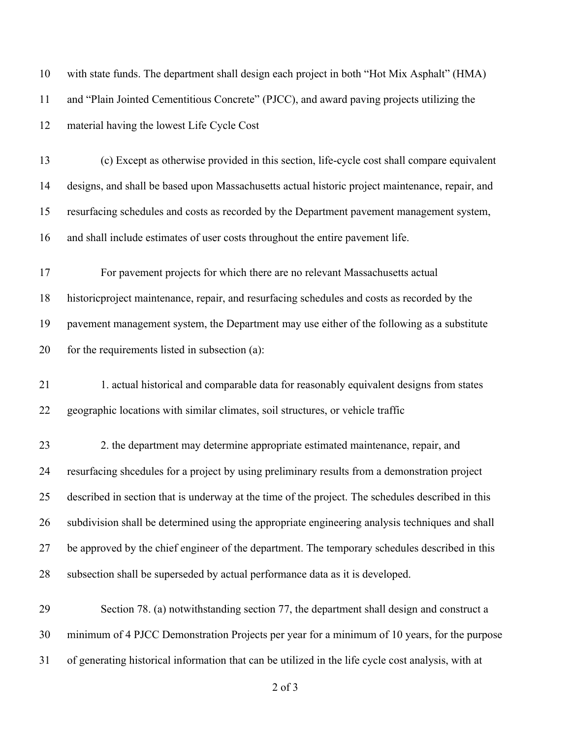| 10 | with state funds. The department shall design each project in both "Hot Mix Asphalt" (HMA)         |
|----|----------------------------------------------------------------------------------------------------|
| 11 | and "Plain Jointed Cementitious Concrete" (PJCC), and award paving projects utilizing the          |
| 12 | material having the lowest Life Cycle Cost                                                         |
| 13 | (c) Except as otherwise provided in this section, life-cycle cost shall compare equivalent         |
| 14 | designs, and shall be based upon Massachusetts actual historic project maintenance, repair, and    |
| 15 | resurfacing schedules and costs as recorded by the Department pavement management system,          |
| 16 | and shall include estimates of user costs throughout the entire pavement life.                     |
| 17 | For pavement projects for which there are no relevant Massachusetts actual                         |
| 18 | historic project maintenance, repair, and resurfacing schedules and costs as recorded by the       |
| 19 | pavement management system, the Department may use either of the following as a substitute         |
| 20 | for the requirements listed in subsection (a):                                                     |
| 21 | 1. actual historical and comparable data for reasonably equivalent designs from states             |
| 22 | geographic locations with similar climates, soil structures, or vehicle traffic                    |
| 23 | 2. the department may determine appropriate estimated maintenance, repair, and                     |
| 24 | resurfacing sheedules for a project by using preliminary results from a demonstration project      |
| 25 | described in section that is underway at the time of the project. The schedules described in this  |
| 26 | subdivision shall be determined using the appropriate engineering analysis techniques and shall    |
| 27 | be approved by the chief engineer of the department. The temporary schedules described in this     |
| 28 | subsection shall be superseded by actual performance data as it is developed.                      |
| 29 | Section 78. (a) notwithstanding section 77, the department shall design and construct a            |
| 30 | minimum of 4 PJCC Demonstration Projects per year for a minimum of 10 years, for the purpose       |
| 31 | of generating historical information that can be utilized in the life cycle cost analysis, with at |

of 3